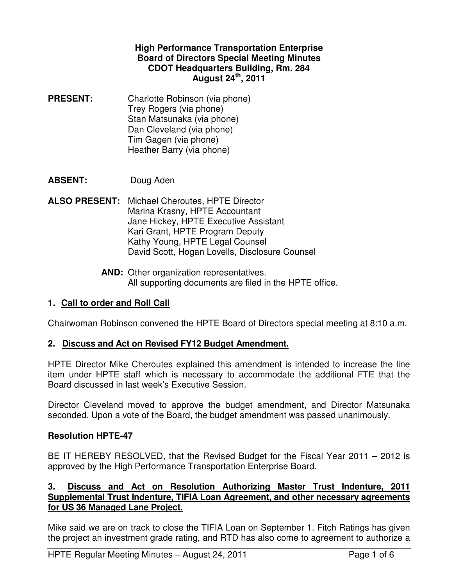#### **High Performance Transportation Enterprise Board of Directors Special Meeting Minutes CDOT Headquarters Building, Rm. 284 August 24th, 2011**

- **PRESENT:** Charlotte Robinson (via phone) Trey Rogers (via phone) Stan Matsunaka (via phone) Dan Cleveland (via phone) Tim Gagen (via phone) Heather Barry (via phone)
- **ABSENT:** Doug Aden
- **ALSO PRESENT:** Michael Cheroutes, HPTE Director Marina Krasny, HPTE Accountant Jane Hickey, HPTE Executive Assistant Kari Grant, HPTE Program Deputy Kathy Young, HPTE Legal Counsel David Scott, Hogan Lovells, Disclosure Counsel
	- **AND:** Other organization representatives. All supporting documents are filed in the HPTE office.

## **1. Call to order and Roll Call**

Chairwoman Robinson convened the HPTE Board of Directors special meeting at 8:10 a.m.

## **2. Discuss and Act on Revised FY12 Budget Amendment.**

HPTE Director Mike Cheroutes explained this amendment is intended to increase the line item under HPTE staff which is necessary to accommodate the additional FTE that the Board discussed in last week's Executive Session.

Director Cleveland moved to approve the budget amendment, and Director Matsunaka seconded. Upon a vote of the Board, the budget amendment was passed unanimously.

#### **Resolution HPTE-47**

BE IT HEREBY RESOLVED, that the Revised Budget for the Fiscal Year 2011 – 2012 is approved by the High Performance Transportation Enterprise Board.

### **3. Discuss and Act on Resolution Authorizing Master Trust Indenture, 2011 Supplemental Trust Indenture, TIFIA Loan Agreement, and other necessary agreements for US 36 Managed Lane Project.**

Mike said we are on track to close the TIFIA Loan on September 1. Fitch Ratings has given the project an investment grade rating, and RTD has also come to agreement to authorize a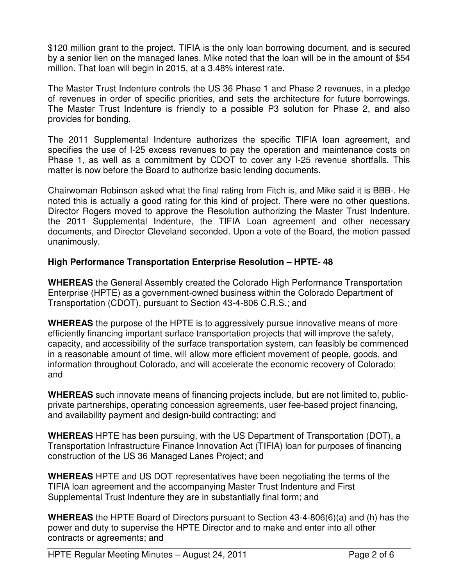\$120 million grant to the project. TIFIA is the only loan borrowing document, and is secured by a senior lien on the managed lanes. Mike noted that the loan will be in the amount of \$54 million. That loan will begin in 2015, at a 3.48% interest rate.

The Master Trust Indenture controls the US 36 Phase 1 and Phase 2 revenues, in a pledge of revenues in order of specific priorities, and sets the architecture for future borrowings. The Master Trust Indenture is friendly to a possible P3 solution for Phase 2, and also provides for bonding.

The 2011 Supplemental Indenture authorizes the specific TIFIA loan agreement, and specifies the use of I-25 excess revenues to pay the operation and maintenance costs on Phase 1, as well as a commitment by CDOT to cover any I-25 revenue shortfalls. This matter is now before the Board to authorize basic lending documents.

Chairwoman Robinson asked what the final rating from Fitch is, and Mike said it is BBB-. He noted this is actually a good rating for this kind of project. There were no other questions. Director Rogers moved to approve the Resolution authorizing the Master Trust Indenture, the 2011 Supplemental Indenture, the TIFIA Loan agreement and other necessary documents, and Director Cleveland seconded. Upon a vote of the Board, the motion passed unanimously.

## **High Performance Transportation Enterprise Resolution – HPTE- 48**

**WHEREAS** the General Assembly created the Colorado High Performance Transportation Enterprise (HPTE) as a government-owned business within the Colorado Department of Transportation (CDOT), pursuant to Section 43-4-806 C.R.S.; and

**WHEREAS** the purpose of the HPTE is to aggressively pursue innovative means of more efficiently financing important surface transportation projects that will improve the safety, capacity, and accessibility of the surface transportation system, can feasibly be commenced in a reasonable amount of time, will allow more efficient movement of people, goods, and information throughout Colorado, and will accelerate the economic recovery of Colorado; and

**WHEREAS** such innovate means of financing projects include, but are not limited to, publicprivate partnerships, operating concession agreements, user fee-based project financing, and availability payment and design-build contracting; and

**WHEREAS** HPTE has been pursuing, with the US Department of Transportation (DOT), a Transportation Infrastructure Finance Innovation Act (TIFIA) loan for purposes of financing construction of the US 36 Managed Lanes Project; and

**WHEREAS** HPTE and US DOT representatives have been negotiating the terms of the TIFIA loan agreement and the accompanying Master Trust Indenture and First Supplemental Trust Indenture they are in substantially final form; and

**WHEREAS** the HPTE Board of Directors pursuant to Section 43-4-806(6)(a) and (h) has the power and duty to supervise the HPTE Director and to make and enter into all other contracts or agreements; and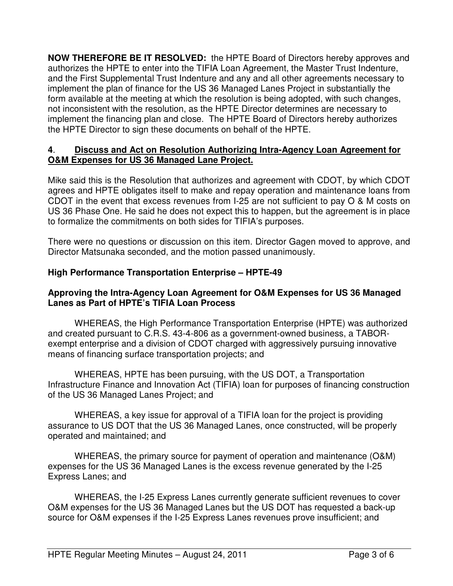**NOW THEREFORE BE IT RESOLVED:** the HPTE Board of Directors hereby approves and authorizes the HPTE to enter into the TIFIA Loan Agreement, the Master Trust Indenture, and the First Supplemental Trust Indenture and any and all other agreements necessary to implement the plan of finance for the US 36 Managed Lanes Project in substantially the form available at the meeting at which the resolution is being adopted, with such changes, not inconsistent with the resolution, as the HPTE Director determines are necessary to implement the financing plan and close. The HPTE Board of Directors hereby authorizes the HPTE Director to sign these documents on behalf of the HPTE.

### **4**. **Discuss and Act on Resolution Authorizing Intra-Agency Loan Agreement for O&M Expenses for US 36 Managed Lane Project.**

Mike said this is the Resolution that authorizes and agreement with CDOT, by which CDOT agrees and HPTE obligates itself to make and repay operation and maintenance loans from CDOT in the event that excess revenues from I-25 are not sufficient to pay O & M costs on US 36 Phase One. He said he does not expect this to happen, but the agreement is in place to formalize the commitments on both sides for TIFIA's purposes.

There were no questions or discussion on this item. Director Gagen moved to approve, and Director Matsunaka seconded, and the motion passed unanimously.

## **High Performance Transportation Enterprise – HPTE-49**

### **Approving the Intra-Agency Loan Agreement for O&M Expenses for US 36 Managed Lanes as Part of HPTE's TIFIA Loan Process**

 WHEREAS, the High Performance Transportation Enterprise (HPTE) was authorized and created pursuant to C.R.S. 43-4-806 as a government-owned business, a TABORexempt enterprise and a division of CDOT charged with aggressively pursuing innovative means of financing surface transportation projects; and

 WHEREAS, HPTE has been pursuing, with the US DOT, a Transportation Infrastructure Finance and Innovation Act (TIFIA) loan for purposes of financing construction of the US 36 Managed Lanes Project; and

 WHEREAS, a key issue for approval of a TIFIA loan for the project is providing assurance to US DOT that the US 36 Managed Lanes, once constructed, will be properly operated and maintained; and

 WHEREAS, the primary source for payment of operation and maintenance (O&M) expenses for the US 36 Managed Lanes is the excess revenue generated by the I-25 Express Lanes; and

WHEREAS, the I-25 Express Lanes currently generate sufficient revenues to cover O&M expenses for the US 36 Managed Lanes but the US DOT has requested a back-up source for O&M expenses if the I-25 Express Lanes revenues prove insufficient; and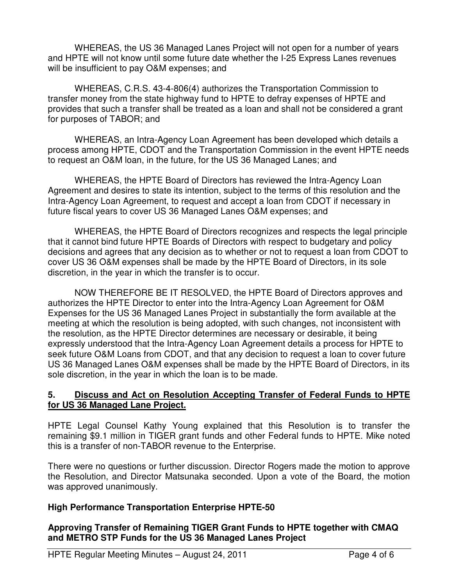WHEREAS, the US 36 Managed Lanes Project will not open for a number of years and HPTE will not know until some future date whether the I-25 Express Lanes revenues will be insufficient to pay O&M expenses; and

WHEREAS, C.R.S. 43-4-806(4) authorizes the Transportation Commission to transfer money from the state highway fund to HPTE to defray expenses of HPTE and provides that such a transfer shall be treated as a loan and shall not be considered a grant for purposes of TABOR; and

WHEREAS, an Intra-Agency Loan Agreement has been developed which details a process among HPTE, CDOT and the Transportation Commission in the event HPTE needs to request an O&M loan, in the future, for the US 36 Managed Lanes; and

WHEREAS, the HPTE Board of Directors has reviewed the Intra-Agency Loan Agreement and desires to state its intention, subject to the terms of this resolution and the Intra-Agency Loan Agreement, to request and accept a loan from CDOT if necessary in future fiscal years to cover US 36 Managed Lanes O&M expenses; and

WHEREAS, the HPTE Board of Directors recognizes and respects the legal principle that it cannot bind future HPTE Boards of Directors with respect to budgetary and policy decisions and agrees that any decision as to whether or not to request a loan from CDOT to cover US 36 O&M expenses shall be made by the HPTE Board of Directors, in its sole discretion, in the year in which the transfer is to occur.

NOW THEREFORE BE IT RESOLVED, the HPTE Board of Directors approves and authorizes the HPTE Director to enter into the Intra-Agency Loan Agreement for O&M Expenses for the US 36 Managed Lanes Project in substantially the form available at the meeting at which the resolution is being adopted, with such changes, not inconsistent with the resolution, as the HPTE Director determines are necessary or desirable, it being expressly understood that the Intra-Agency Loan Agreement details a process for HPTE to seek future O&M Loans from CDOT, and that any decision to request a loan to cover future US 36 Managed Lanes O&M expenses shall be made by the HPTE Board of Directors, in its sole discretion, in the year in which the loan is to be made.

## **5. Discuss and Act on Resolution Accepting Transfer of Federal Funds to HPTE for US 36 Managed Lane Project.**

HPTE Legal Counsel Kathy Young explained that this Resolution is to transfer the remaining \$9.1 million in TIGER grant funds and other Federal funds to HPTE. Mike noted this is a transfer of non-TABOR revenue to the Enterprise.

There were no questions or further discussion. Director Rogers made the motion to approve the Resolution, and Director Matsunaka seconded. Upon a vote of the Board, the motion was approved unanimously.

## **High Performance Transportation Enterprise HPTE-50**

## **Approving Transfer of Remaining TIGER Grant Funds to HPTE together with CMAQ and METRO STP Funds for the US 36 Managed Lanes Project**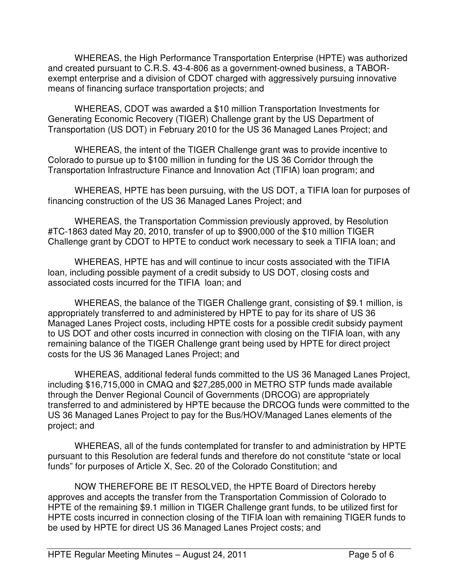WHEREAS, the High Performance Transportation Enterprise (HPTE) was authorized and created pursuant to C.R.S. 43-4-806 as a government-owned business, a TABORexempt enterprise and a division of CDOT charged with aggressively pursuing innovative means of financing surface transportation projects; and

 WHEREAS, CDOT was awarded a \$10 million Transportation Investments for Generating Economic Recovery (TIGER) Challenge grant by the US Department of Transportation (US DOT) in February 2010 for the US 36 Managed Lanes Project; and

 WHEREAS, the intent of the TIGER Challenge grant was to provide incentive to Colorado to pursue up to \$100 million in funding for the US 36 Corridor through the Transportation Infrastructure Finance and Innovation Act (TIFIA) loan program; and

 WHEREAS, HPTE has been pursuing, with the US DOT, a TIFIA loan for purposes of financing construction of the US 36 Managed Lanes Project; and

 WHEREAS, the Transportation Commission previously approved, by Resolution #TC-1863 dated May 20, 2010, transfer of up to \$900,000 of the \$10 million TIGER Challenge grant by CDOT to HPTE to conduct work necessary to seek a TIFIA loan; and

 WHEREAS, HPTE has and will continue to incur costs associated with the TIFIA loan, including possible payment of a credit subsidy to US DOT, closing costs and associated costs incurred for the TIFIA loan; and

 WHEREAS, the balance of the TIGER Challenge grant, consisting of \$9.1 million, is appropriately transferred to and administered by HPTE to pay for its share of US 36 Managed Lanes Project costs, including HPTE costs for a possible credit subsidy payment to US DOT and other costs incurred in connection with closing on the TIFIA loan, with any remaining balance of the TIGER Challenge grant being used by HPTE for direct project costs for the US 36 Managed Lanes Project; and

 WHEREAS, additional federal funds committed to the US 36 Managed Lanes Project, including \$16,715,000 in CMAQ and \$27,285,000 in METRO STP funds made available through the Denver Regional Council of Governments (DRCOG) are appropriately transferred to and administered by HPTE because the DRCOG funds were committed to the US 36 Managed Lanes Project to pay for the Bus/HOV/Managed Lanes elements of the project; and

 WHEREAS, all of the funds contemplated for transfer to and administration by HPTE pursuant to this Resolution are federal funds and therefore do not constitute "state or local funds" for purposes of Article X, Sec. 20 of the Colorado Constitution; and

 NOW THEREFORE BE IT RESOLVED, the HPTE Board of Directors hereby approves and accepts the transfer from the Transportation Commission of Colorado to HPTE of the remaining \$9.1 million in TIGER Challenge grant funds, to be utilized first for HPTE costs incurred in connection closing of the TIFIA loan with remaining TIGER funds to be used by HPTE for direct US 36 Managed Lanes Project costs; and